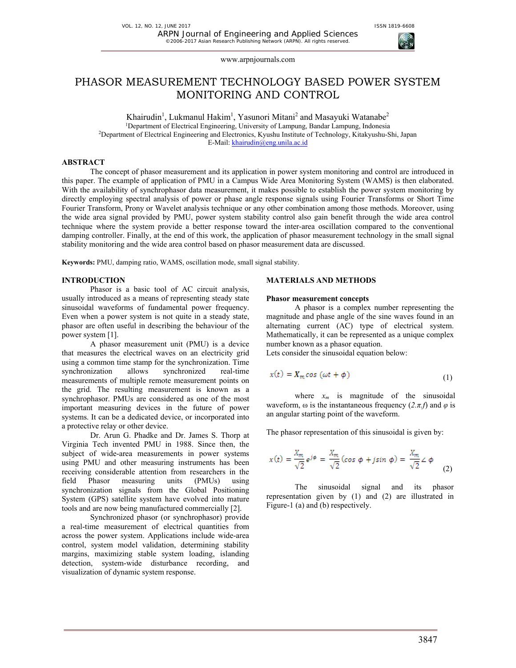# PHASOR MEASUREMENT TECHNOLOGY BASED POWER SYSTEM MONITORING AND CONTROL

Khairudin<sup>1</sup>, Lukmanul Hakim<sup>1</sup>, Yasunori Mitani<sup>2</sup> and Masayuki Watanabe<sup>2</sup> 1Department of Electrical Engineering, University of Lampung, Bandar Lampung, Indonesia 2Department of Electrical Engineering and Electronics, Kyushu Institute of Technology, Kitakyushu-Shi, Japan E-Mail: khairudin@eng.unila.ac.id

# **ABSTRACT**

The concept of phasor measurement and its application in power system monitoring and control are introduced in this paper. The example of application of PMU in a Campus Wide Area Monitoring System (WAMS) is then elaborated. With the availability of synchrophasor data measurement, it makes possible to establish the power system monitoring by directly employing spectral analysis of power or phase angle response signals using Fourier Transforms or Short Time Fourier Transform, Prony or Wavelet analysis technique or any other combination among those methods. Moreover, using the wide area signal provided by PMU, power system stability control also gain benefit through the wide area control technique where the system provide a better response toward the inter-area oscillation compared to the conventional damping controller. Finally, at the end of this work, the application of phasor measurement technology in the small signal stability monitoring and the wide area control based on phasor measurement data are discussed.

**Keywords:** PMU, damping ratio, WAMS, oscillation mode, small signal stability.

# **INTRODUCTION**

Phasor is a basic tool of AC circuit analysis, usually introduced as a means of representing steady state sinusoidal waveforms of fundamental power frequency. Even when a power system is not quite in a steady state, phasor are often useful in describing the behaviour of the power system [1].

A phasor measurement unit (PMU) is a device that measures the electrical waves on an electricity grid using a common time stamp for the synchronization. Time<br>synchronization allows synchronized real-time synchronization allows synchronized real-time measurements of multiple remote measurement points on the grid. The resulting measurement is known as a synchrophasor. PMUs are considered as one of the most important measuring devices in the future of power systems. It can be a dedicated device, or incorporated into a protective relay or other device.

Dr. Arun G. Phadke and Dr. James S. Thorp at Virginia Tech invented PMU in 1988. Since then, the subject of wide-area measurements in power systems using PMU and other measuring instruments has been receiving considerable attention from researchers in the field Phasor measuring units (PMUs) using synchronization signals from the Global Positioning System (GPS) satellite system have evolved into mature tools and are now being manufactured commercially [2].

Synchronized phasor (or synchrophasor) provide a real-time measurement of electrical quantities from across the power system. Applications include wide-area control, system model validation, determining stability margins, maximizing stable system loading, islanding detection, system-wide disturbance recording, and visualization of dynamic system response.

## **MATERIALS AND METHODS**

### **Phasor measurement concepts**

A phasor is a complex number representing the magnitude and phase angle of the sine waves found in an alternating current (AC) type of electrical system. Mathematically, it can be represented as a unique complex number known as a phasor equation.

Lets consider the sinusoidal equation below:

$$
x(t) = X_m \cos(\omega t + \phi) \tag{1}
$$

where  $x_m$  is magnitude of the sinusoidal waveform,  $\omega$  is the instantaneous frequency  $(2.\pi.f)$  and  $\varphi$  is an angular starting point of the waveform.

The phasor representation of this sinusoidal is given by:

$$
x(t) = \frac{X_m}{\sqrt{2}} e^{j\phi} = \frac{X_m}{\sqrt{2}} (\cos \phi + j \sin \phi) = \frac{X_m}{\sqrt{2}} \angle \phi
$$
 (2)

The sinusoidal signal and its phasor representation given by (1) and (2) are illustrated in Figure-1 (a) and (b) respectively.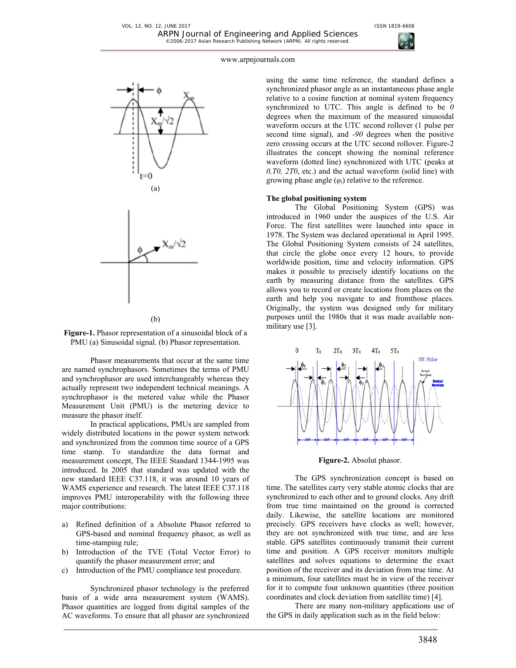



(b)

**Figure-1.** Phasor representation of a sinusoidal block of a PMU (a) Sinusoidal signal. (b) Phasor representation.

Phasor measurements that occur at the same time are named synchrophasors. Sometimes the terms of PMU and synchrophasor are used interchangeably whereas they actually represent two independent technical meanings. A synchrophasor is the metered value while the Phasor Measurement Unit (PMU) is the metering device to measure the phasor itself.

In practical applications, PMUs are sampled from widely distributed locations in the power system network and synchronized from the common time source of a GPS time stamp. To standardize the data format and measurement concept, The IEEE Standard 1344-1995 was introduced. In 2005 that standard was updated with the new standard IEEE C37.118, it was around 10 years of WAMS experience and research. The latest IEEE C37.118 improves PMU interoperability with the following three major contributions:

- a) Refined definition of a Absolute Phasor referred to GPS-based and nominal frequency phasor, as well as time-stamping rule;
- b) Introduction of the TVE (Total Vector Error) to quantify the phasor measurement error; and
- c) Introduction of the PMU compliance test procedure.

Synchronized phasor technology is the preferred basis of a wide area measurement system (WAMS). Phasor quantities are logged from digital samples of the AC waveforms. To ensure that all phasor are synchronized using the same time reference, the standard defines a synchronized phasor angle as an instantaneous phase angle relative to a cosine function at nominal system frequency synchronized to UTC. This angle is defined to be *0* degrees when the maximum of the measured sinusoidal waveform occurs at the UTC second rollover (1 pulse per second time signal), and *-90* degrees when the positive zero crossing occurs at the UTC second rollover. Figure-2 illustrates the concept showing the nominal reference waveform (dotted line) synchronized with UTC (peaks at *0,T0, 2T0*, etc.) and the actual waveform (solid line) with growing phase angle  $(\varphi_i)$  relative to the reference.

### **The global positioning system**

The Global Positioning System (GPS) was introduced in 1960 under the auspices of the U.S. Air Force. The first satellites were launched into space in 1978. The System was declared operational in April 1995. The Global Positioning System consists of 24 satellites, that circle the globe once every 12 hours, to provide worldwide position, time and velocity information. GPS makes it possible to precisely identify locations on the earth by measuring distance from the satellites. GPS allows you to record or create locations from places on the earth and help you navigate to and fromthose places. Originally, the system was designed only for military purposes until the 1980s that it was made available nonmilitary use [3].



**Figure-2.** Absolut phasor.

The GPS synchronization concept is based on time. The satellites carry very stable atomic clocks that are synchronized to each other and to ground clocks. Any drift from true time maintained on the ground is corrected daily. Likewise, the satellite locations are monitored precisely. GPS receivers have clocks as well; however, they are not synchronized with true time, and are less stable. GPS satellites continuously transmit their current time and position. A GPS receiver monitors multiple satellites and solves equations to determine the exact position of the receiver and its deviation from true time. At a minimum, four satellites must be in view of the receiver for it to compute four unknown quantities (three position coordinates and clock deviation from satellite time) [4].

There are many non-military applications use of the GPS in daily application such as in the field below: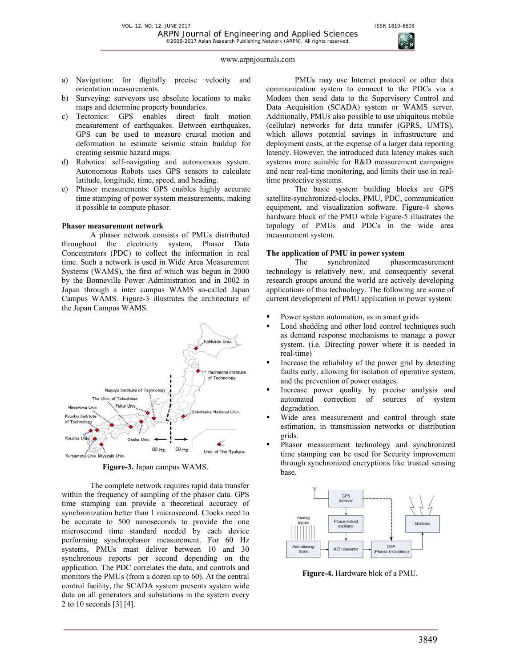

- a) Navigation: for digitally precise velocity and orientation measurements.
- b) Surveying: surveyors use absolute locations to make maps and determine property boundaries.
- c) Tectonics: GPS enables direct fault motion measurement of earthquakes. Between earthquakes, GPS can be used to measure crustal motion and deformation to estimate seismic strain buildup for creating seismic hazard maps.
- d) Robotics: self-navigating and autonomous system. Autonomous Robots uses GPS sensors to calculate latitude, longitude, time, speed, and heading.
- e) Phasor measurements: GPS enables highly accurate time stamping of power system measurements, making it possible to compute phasor.

### **Phasor measurement network**

A phasor network consists of PMUs distributed throughout the electricity system, Phasor Data Concentrators (PDC) to collect the information in real time. Such a network is used in Wide Area Measurement Systems (WAMS), the first of which was begun in 2000 by the Bonneville Power Administration and in 2002 in Japan through a inter campus WAMS so-called Japan Campus WAMS. Figure-3 illustrates the architecture of the Japan Campus WAMS.



**Figure-3.** Japan campus WAMS.

The complete network requires rapid data transfer within the frequency of sampling of the phasor data. GPS time stamping can provide a theoretical accuracy of synchronization better than 1 microsecond. Clocks need to be accurate to 500 nanoseconds to provide the one microsecond time standard needed by each device performing synchrophasor measurement. For 60 Hz systems, PMUs must deliver between 10 and 30 synchronous reports per second depending on the application. The PDC correlates the data, and controls and monitors the PMUs (from a dozen up to 60). At the central control facility, the SCADA system presents system wide data on all generators and substations in the system every 2 to 10 seconds [3] [4].

PMUs may use Internet protocol or other data communication system to connect to the PDCs via a Modem then send data to the Supervisory Control and Data Acquisition (SCADA) system or WAMS server. Additionally, PMUs also possible to use ubiquitous mobile (cellular) networks for data transfer (GPRS, UMTS), which allows potential savings in infrastructure and deployment costs, at the expense of a larger data reporting latency. However, the introduced data latency makes such systems more suitable for R&D measurement campaigns and near real-time monitoring, and limits their use in realtime protective systems.

The basic system building blocks are GPS satellite-synchronized-clocks, PMU, PDC, communication equipment, and visualization software. Figure-4 shows hardware block of the PMU while Figure-5 illustrates the topology of PMUs and PDCs in the wide area measurement system.

# **The application of PMU in power system**

The synchronized phasormeasurement technology is relatively new, and consequently several research groups around the world are actively developing applications of this technology. The following are some of current development of PMU application in power system:

- Power system automation, as in smart grids
- Load shedding and other load control techniques such as demand response mechanisms to manage a power system. (i.e. Directing power where it is needed in real-time)
- Increase the reliability of the power grid by detecting faults early, allowing for isolation of operative system, and the prevention of power outages.
- Increase power quality by precise analysis and automated correction of sources of system degradation.
- Wide area measurement and control through state estimation, in transmission networks or distribution grids.
- Phasor measurement technology and synchronized time stamping can be used for Security improvement through synchronized encryptions like trusted sensing base.



**Figure-4.** Hardware blok of a PMU.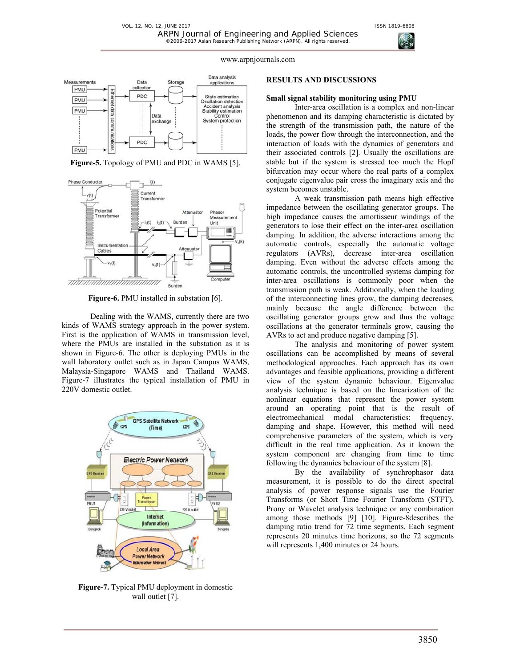



**Figure-5.** Topology of PMU and PDC in WAMS [5].



**Figure-6.** PMU installed in substation [6].

Dealing with the WAMS, currently there are two kinds of WAMS strategy approach in the power system. First is the application of WAMS in transmission level, where the PMUs are installed in the substation as it is shown in Figure-6. The other is deploying PMUs in the wall laboratory outlet such as in Japan Campus WAMS, Malaysia-Singapore WAMS and Thailand WAMS. Figure-7 illustrates the typical installation of PMU in 220V domestic outlet.



**Figure-7.** Typical PMU deployment in domestic wall outlet [7].

### **RESULTS AND DISCUSSIONS**

### **Small signal stability monitoring using PMU**

Inter-area oscillation is a complex and non-linear phenomenon and its damping characteristic is dictated by the strength of the transmission path, the nature of the loads, the power flow through the interconnection, and the interaction of loads with the dynamics of generators and their associated controls [2]. Usually the oscillations are stable but if the system is stressed too much the Hopf bifurcation may occur where the real parts of a complex conjugate eigenvalue pair cross the imaginary axis and the system becomes unstable.

A weak transmission path means high effective impedance between the oscillating generator groups. The high impedance causes the amortisseur windings of the generators to lose their effect on the inter-area oscillation damping. In addition, the adverse interactions among the automatic controls, especially the automatic voltage regulators (AVRs), decrease inter-area oscillation damping. Even without the adverse effects among the automatic controls, the uncontrolled systems damping for inter-area oscillations is commonly poor when the transmission path is weak. Additionally, when the loading of the interconnecting lines grow, the damping decreases, mainly because the angle difference between the oscillating generator groups grow and thus the voltage oscillations at the generator terminals grow, causing the AVRs to act and produce negative damping [5].

The analysis and monitoring of power system oscillations can be accomplished by means of several methodological approaches. Each approach has its own advantages and feasible applications, providing a different view of the system dynamic behaviour. Eigenvalue analysis technique is based on the linearization of the nonlinear equations that represent the power system around an operating point that is the result of electromechanical modal characteristics: frequency, damping and shape. However, this method will need comprehensive parameters of the system, which is very difficult in the real time application. As it known the system component are changing from time to time following the dynamics behaviour of the system [8].

By the availability of synchrophasor data measurement, it is possible to do the direct spectral analysis of power response signals use the Fourier Transforms (or Short Time Fourier Transform (STFT), Prony or Wavelet analysis technique or any combination among those methods [9] [10]. Figure-8describes the damping ratio trend for 72 time segments. Each segment represents 20 minutes time horizons, so the 72 segments will represents 1,400 minutes or 24 hours.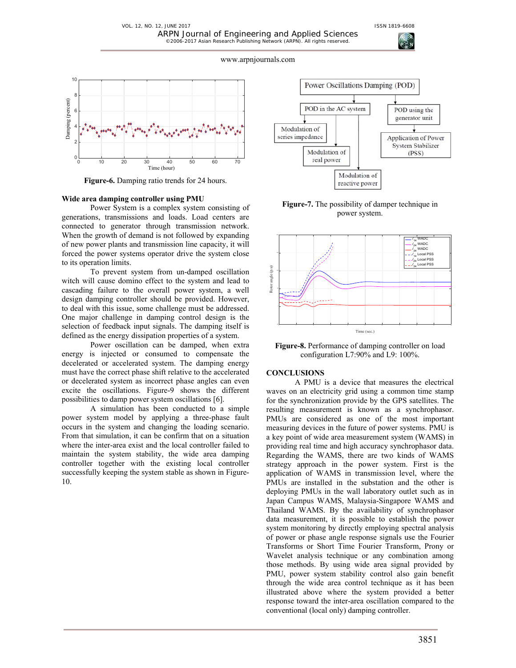

**Figure-6.** Damping ratio trends for 24 hours.

### **Wide area damping controller using PMU**

Power System is a complex system consisting of generations, transmissions and loads. Load centers are connected to generator through transmission network. When the growth of demand is not followed by expanding of new power plants and transmission line capacity, it will forced the power systems operator drive the system close to its operation limits.

To prevent system from un-damped oscillation witch will cause domino effect to the system and lead to cascading failure to the overall power system, a well design damping controller should be provided. However, to deal with this issue, some challenge must be addressed. One major challenge in damping control design is the selection of feedback input signals. The damping itself is defined as the energy dissipation properties of a system.

Power oscillation can be damped, when extra energy is injected or consumed to compensate the decelerated or accelerated system. The damping energy must have the correct phase shift relative to the accelerated or decelerated system as incorrect phase angles can even excite the oscillations. Figure-9 shows the different possibilities to damp power system oscillations [6].

A simulation has been conducted to a simple power system model by applying a three-phase fault occurs in the system and changing the loading scenario. From that simulation, it can be confirm that on a situation where the inter-area exist and the local controller failed to maintain the system stability, the wide area damping controller together with the existing local controller successfully keeping the system stable as shown in Figure-10.



**Figure-7.** The possibility of damper technique in power system.



**Figure-8.** Performance of damping controller on load configuration L7:90% and L9: 100%.

### **CONCLUSIONS**

A PMU is a device that measures the electrical waves on an electricity grid using a common time stamp for the synchronization provide by the GPS satellites. The resulting measurement is known as a synchrophasor. PMUs are considered as one of the most important measuring devices in the future of power systems. PMU is a key point of wide area measurement system (WAMS) in providing real time and high accuracy synchrophasor data. Regarding the WAMS, there are two kinds of WAMS strategy approach in the power system. First is the application of WAMS in transmission level, where the PMUs are installed in the substation and the other is deploying PMUs in the wall laboratory outlet such as in Japan Campus WAMS, Malaysia-Singapore WAMS and Thailand WAMS. By the availability of synchrophasor data measurement, it is possible to establish the power system monitoring by directly employing spectral analysis of power or phase angle response signals use the Fourier Transforms or Short Time Fourier Transform, Prony or Wavelet analysis technique or any combination among those methods. By using wide area signal provided by PMU, power system stability control also gain benefit through the wide area control technique as it has been illustrated above where the system provided a better response toward the inter-area oscillation compared to the conventional (local only) damping controller.